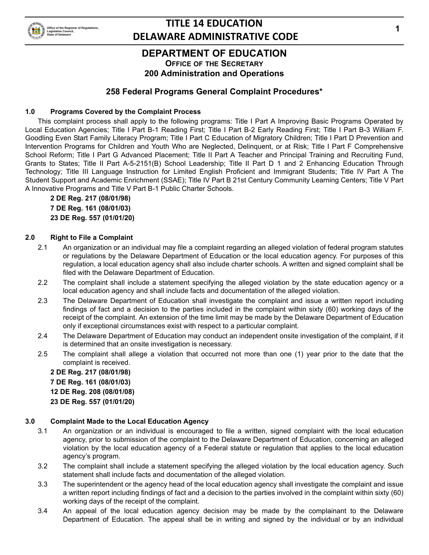

# **TITLE 14 EDUCATION DELAWARE ADMINISTRATIVE CODE**

### **DEPARTMENT OF EDUCATION**

**OFFICE OF THE SECRETARY 200 Administration and Operations**

### **258 Federal Programs General Complaint Procedures\***

### **1.0 Programs Covered by the Complaint Process**

This complaint process shall apply to the following programs: Title I Part A Improving Basic Programs Operated by Local Education Agencies; Title I Part B-1 Reading First; Title I Part B-2 Early Reading First; Title I Part B-3 William F. Goodling Even Start Family Literacy Program; Title I Part C Education of Migratory Children; Title I Part D Prevention and Intervention Programs for Children and Youth Who are Neglected, Delinquent, or at Risk; Title I Part F Comprehensive School Reform; Title I Part G Advanced Placement; Title II Part A Teacher and Principal Training and Recruiting Fund, Grants to States; Title II Part A-5-2151(B) School Leadership; Title II Part D 1 and 2 Enhancing Education Through Technology; Title III Language Instruction for Limited English Proficient and Immigrant Students; Title IV Part A The Student Support and Academic Enrichment (SSAE); Title IV Part B 21st Century Community Learning Centers; Title V Part A Innovative Programs and Title V Part B-1 Public Charter Schools.

**2 DE Reg. 217 (08/01/98) 7 DE Reg. 161 (08/01/03) 23 DE Reg. 557 (01/01/20)**

#### **2.0 Right to File a Complaint**

- 2.1 An organization or an individual may file a complaint regarding an alleged violation of federal program statutes or regulations by the Delaware Department of Education or the local education agency. For purposes of this regulation, a local education agency shall also include charter schools. A written and signed complaint shall be filed with the Delaware Department of Education.
- 2.2 The complaint shall include a statement specifying the alleged violation by the state education agency or a local education agency and shall include facts and documentation of the alleged violation.
- 2.3 The Delaware Department of Education shall investigate the complaint and issue a written report including findings of fact and a decision to the parties included in the complaint within sixty (60) working days of the receipt of the complaint. An extension of the time limit may be made by the Delaware Department of Education only if exceptional circumstances exist with respect to a particular complaint.
- 2.4 The Delaware Department of Education may conduct an independent onsite investigation of the complaint, if it is determined that an onsite investigation is necessary.
- 2.5 The complaint shall allege a violation that occurred not more than one (1) year prior to the date that the complaint is received.

**2 DE Reg. 217 (08/01/98) 7 DE Reg. 161 (08/01/03) 12 DE Reg. 208 (08/01/08) 23 DE Reg. 557 (01/01/20)**

#### **3.0 Complaint Made to the Local Education Agency**

- 3.1 An organization or an individual is encouraged to file a written, signed complaint with the local education agency, prior to submission of the complaint to the Delaware Department of Education, concerning an alleged violation by the local education agency of a Federal statute or regulation that applies to the local education agency's program.
- 3.2 The complaint shall include a statement specifying the alleged violation by the local education agency. Such statement shall include facts and documentation of the alleged violation.
- 3.3 The superintendent or the agency head of the local education agency shall investigate the complaint and issue a written report including findings of fact and a decision to the parties involved in the complaint within sixty (60) working days of the receipt of the complaint.
- 3.4 An appeal of the local education agency decision may be made by the complainant to the Delaware Department of Education. The appeal shall be in writing and signed by the individual or by an individual